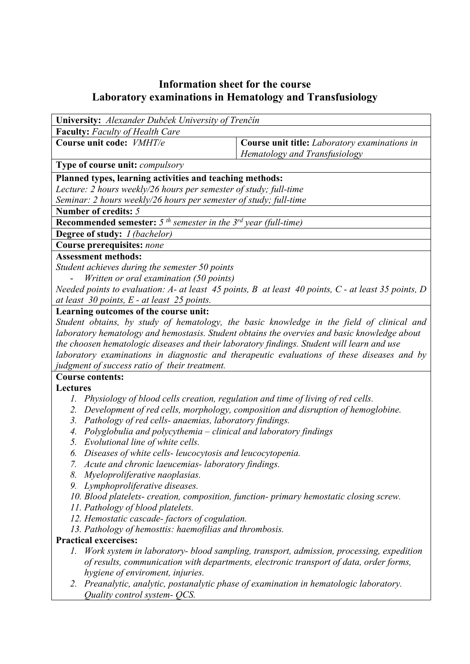## **Information sheet for the course Laboratory examinations in Hematology and Transfusiology**

| University: Alexander Dubček University of Trenčín                                                           |                                                                                                          |  |  |  |  |  |
|--------------------------------------------------------------------------------------------------------------|----------------------------------------------------------------------------------------------------------|--|--|--|--|--|
| <b>Faculty:</b> Faculty of Health Care                                                                       |                                                                                                          |  |  |  |  |  |
| Course unit code: VMHT/e                                                                                     | Course unit title: Laboratory examinations in<br>Hematology and Transfusiology                           |  |  |  |  |  |
| <b>Type of course unit: compulsory</b>                                                                       |                                                                                                          |  |  |  |  |  |
| Planned types, learning activities and teaching methods:                                                     |                                                                                                          |  |  |  |  |  |
| Lecture: 2 hours weekly/26 hours per semester of study; full-time                                            |                                                                                                          |  |  |  |  |  |
| Seminar: 2 hours weekly/26 hours per semester of study; full-time                                            |                                                                                                          |  |  |  |  |  |
| Number of credits: 5                                                                                         |                                                                                                          |  |  |  |  |  |
| <b>Recommended semester:</b> 5 <sup>th</sup> semester in the $3^{rd}$ year (full-time)                       |                                                                                                          |  |  |  |  |  |
| Degree of study: I (bachelor)                                                                                |                                                                                                          |  |  |  |  |  |
| Course prerequisites: none                                                                                   |                                                                                                          |  |  |  |  |  |
| <b>Assessment methods:</b>                                                                                   |                                                                                                          |  |  |  |  |  |
| Student achieves during the semester 50 points                                                               |                                                                                                          |  |  |  |  |  |
| Written or oral examination (50 points)                                                                      |                                                                                                          |  |  |  |  |  |
| Needed points to evaluation: $A$ - at least 45 points, $B$ at least 40 points, $C$ - at least 35 points, $D$ |                                                                                                          |  |  |  |  |  |
| at least $30$ points, $E$ - at least $25$ points.                                                            |                                                                                                          |  |  |  |  |  |
| Learning outcomes of the course unit:                                                                        |                                                                                                          |  |  |  |  |  |
| Student obtains, by study of hematology, the basic knowledge in the field of clinical and                    |                                                                                                          |  |  |  |  |  |
| laboratory hematology and hemostasis. Student obtains the overvies and basic knowledge about                 |                                                                                                          |  |  |  |  |  |
| the choosen hematologic diseases and their laboratory findings. Student will learn and use                   |                                                                                                          |  |  |  |  |  |
| laboratory examinations in diagnostic and therapeutic evaluations of these diseases and by                   |                                                                                                          |  |  |  |  |  |
| judgment of success ratio of their treatment.                                                                |                                                                                                          |  |  |  |  |  |
| <b>Course contents:</b>                                                                                      |                                                                                                          |  |  |  |  |  |
| Lectures                                                                                                     |                                                                                                          |  |  |  |  |  |
| Physiology of blood cells creation, regulation and time of living of red cells.<br>1.                        |                                                                                                          |  |  |  |  |  |
| Development of red cells, morphology, composition and disruption of hemoglobine.<br>2.                       |                                                                                                          |  |  |  |  |  |
| Pathology of red cells- anaemias, laboratory findings.<br>3.                                                 |                                                                                                          |  |  |  |  |  |
| Polyglobulia and polycythemia – clinical and laboratory findings<br>4.                                       |                                                                                                          |  |  |  |  |  |
| Evolutional line of white cells.<br>5.                                                                       |                                                                                                          |  |  |  |  |  |
| Diseases of white cells- leucocytosis and leucocytopenia.<br>6.                                              |                                                                                                          |  |  |  |  |  |
| Acute and chronic laeucemias-laboratory findings.                                                            |                                                                                                          |  |  |  |  |  |
| Myeloproliferative naoplasias.<br>8.                                                                         |                                                                                                          |  |  |  |  |  |
|                                                                                                              | Lymphoproliferative diseases.<br>9.                                                                      |  |  |  |  |  |
| 10. Blood platelets- creation, composition, function- primary hemostatic closing screw.                      |                                                                                                          |  |  |  |  |  |
| 11. Pathology of blood platelets.                                                                            |                                                                                                          |  |  |  |  |  |
|                                                                                                              | 12. Hemostatic cascade-factors of cogulation.<br>13. Pathology of hemosttis: haemofilias and thrombosis. |  |  |  |  |  |
| <b>Practical excercises:</b>                                                                                 |                                                                                                          |  |  |  |  |  |
| Work system in laboratory- blood sampling, transport, admission, processing, expedition<br>1.                |                                                                                                          |  |  |  |  |  |
|                                                                                                              | of results, communication with departments, electronic transport of data, order forms,                   |  |  |  |  |  |
| hygiene of enviroment, injuries.                                                                             |                                                                                                          |  |  |  |  |  |
| 2.                                                                                                           | Preanalytic, analytic, postanalytic phase of examination in hematologic laboratory.                      |  |  |  |  |  |
| Quality control system- QCS.                                                                                 |                                                                                                          |  |  |  |  |  |
|                                                                                                              |                                                                                                          |  |  |  |  |  |